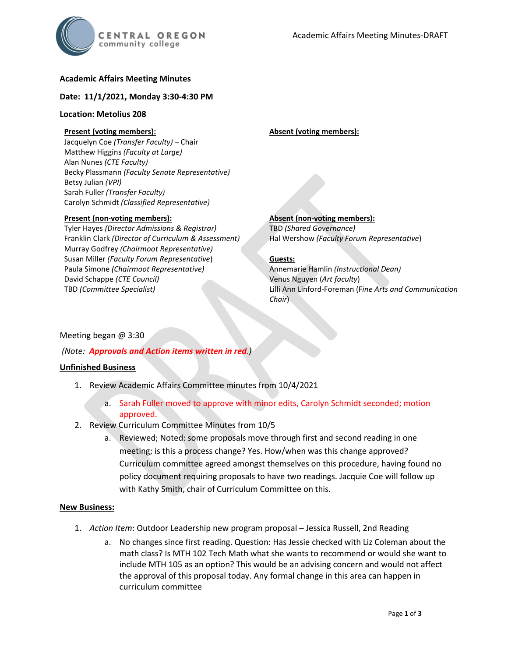

## **Academic Affairs Meeting Minutes**

### **Date: 11/1/2021, Monday 3:30-4:30 PM**

## **Location: Metolius 208**

# **Present (voting members):**

Jacquelyn Coe *(Transfer Faculty)* – Chair Matthew Higgins *(Faculty at Large)* Alan Nunes *(CTE Faculty)* Becky Plassmann *(Faculty Senate Representative)* Betsy Julian *(VPI)* Sarah Fuller *(Transfer Faculty)* Carolyn Schmidt *(Classified Representative)*

#### **Present (non-voting members):**

Tyler Hayes *(Director Admissions & Registrar)* Franklin Clark *(Director of Curriculum & Assessment)* Murray Godfrey *(Chairmoot Representative)* Susan Miller *(Faculty Forum Representative*) Paula Simone *(Chairmoot Representative)* David Schappe *(CTE Council)* TBD *(Committee Specialist)*

#### **Absent (voting members):**

**Absent (non-voting members):** TBD *(Shared Governance)* Hal Wershow *(Faculty Forum Representative*)

### **Guests:**

Annemarie Hamlin *(Instructional Dean)* Venus Nguyen (*Art faculty*) Lilli Ann Linford-Foreman (F*ine Arts and Communication Chair*)

### Meeting began @ 3:30

### *(Note: Approvals and Action items written in red.)*

### **Unfinished Business**

- 1. Review Academic Affairs Committee minutes from 10/4/2021
	- a. Sarah Fuller moved to approve with minor edits, Carolyn Schmidt seconded; motion approved.
- 2. Review Curriculum Committee Minutes from 10/5
	- a. Reviewed; Noted: some proposals move through first and second reading in one meeting; is this a process change? Yes. How/when was this change approved? Curriculum committee agreed amongst themselves on this procedure, having found no policy document requiring proposals to have two readings. Jacquie Coe will follow up with Kathy Smith, chair of Curriculum Committee on this.

#### **New Business:**

- 1. *Action Item*: Outdoor Leadership new program proposal Jessica Russell, 2nd Reading
	- a. No changes since first reading. Question: Has Jessie checked with Liz Coleman about the math class? Is MTH 102 Tech Math what she wants to recommend or would she want to include MTH 105 as an option? This would be an advising concern and would not affect the approval of this proposal today. Any formal change in this area can happen in curriculum committee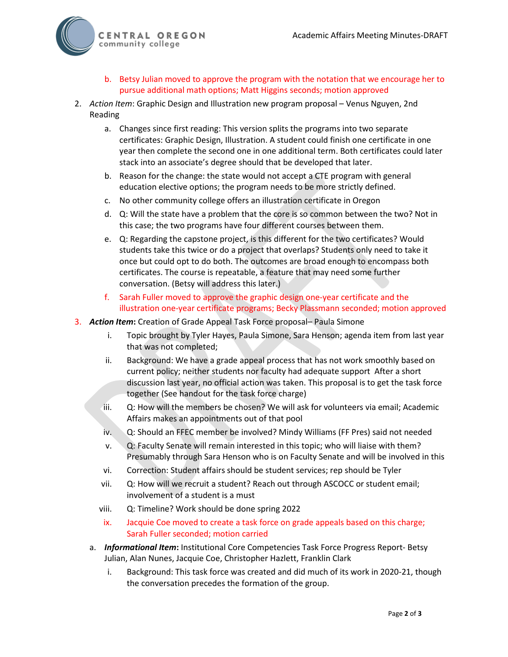

- b. Betsy Julian moved to approve the program with the notation that we encourage her to pursue additional math options; Matt Higgins seconds; motion approved
- 2. *Action Item*: Graphic Design and Illustration new program proposal Venus Nguyen, 2nd Reading
	- a. Changes since first reading: This version splits the programs into two separate certificates: Graphic Design, Illustration. A student could finish one certificate in one year then complete the second one in one additional term. Both certificates could later stack into an associate's degree should that be developed that later.
	- b. Reason for the change: the state would not accept a CTE program with general education elective options; the program needs to be more strictly defined.
	- c. No other community college offers an illustration certificate in Oregon
	- d. Q: Will the state have a problem that the core is so common between the two? Not in this case; the two programs have four different courses between them.
	- e. Q: Regarding the capstone project, is this different for the two certificates? Would students take this twice or do a project that overlaps? Students only need to take it once but could opt to do both. The outcomes are broad enough to encompass both certificates. The course is repeatable, a feature that may need some further conversation. (Betsy will address this later.)
	- f. Sarah Fuller moved to approve the graphic design one-year certificate and the illustration one-year certificate programs; Becky Plassmann seconded; motion approved
- 3. *Action Item***:** Creation of Grade Appeal Task Force proposal– Paula Simone
	- i. Topic brought by Tyler Hayes, Paula Simone, Sara Henson; agenda item from last year that was not completed;
	- ii. Background: We have a grade appeal process that has not work smoothly based on current policy; neither students nor faculty had adequate support After a short discussion last year, no official action was taken. This proposal is to get the task force together (See handout for the task force charge)
	- iii. Q: How will the members be chosen? We will ask for volunteers via email; Academic Affairs makes an appointments out of that pool
	- iv. Q: Should an FFEC member be involved? Mindy Williams (FF Pres) said not needed
	- v. Q: Faculty Senate will remain interested in this topic; who will liaise with them? Presumably through Sara Henson who is on Faculty Senate and will be involved in this
	- vi. Correction: Student affairs should be student services; rep should be Tyler
	- vii. Q: How will we recruit a student? Reach out through ASCOCC or student email; involvement of a student is a must
	- viii. Q: Timeline? Work should be done spring 2022
	- ix. Jacquie Coe moved to create a task force on grade appeals based on this charge; Sarah Fuller seconded; motion carried
	- a. *Informational Item***:** Institutional Core Competencies Task Force Progress Report- Betsy Julian, Alan Nunes, Jacquie Coe, Christopher Hazlett, Franklin Clark
		- i. Background: This task force was created and did much of its work in 2020-21, though the conversation precedes the formation of the group.